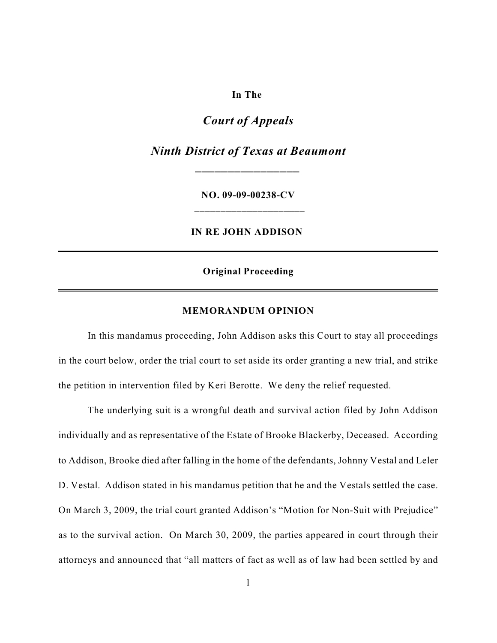# **In The**

# *Court of Appeals*

*Ninth District of Texas at Beaumont \_\_\_\_\_\_\_\_\_\_\_\_\_\_\_\_*

> **NO. 09-09-00238-CV \_\_\_\_\_\_\_\_\_\_\_\_\_\_\_\_\_\_\_\_\_**

**IN RE JOHN ADDISON** 

## **Original Proceeding**

#### **MEMORANDUM OPINION**

In this mandamus proceeding, John Addison asks this Court to stay all proceedings in the court below, order the trial court to set aside its order granting a new trial, and strike the petition in intervention filed by Keri Berotte. We deny the relief requested.

The underlying suit is a wrongful death and survival action filed by John Addison individually and as representative of the Estate of Brooke Blackerby, Deceased. According to Addison, Brooke died after falling in the home of the defendants, Johnny Vestal and Leler D. Vestal. Addison stated in his mandamus petition that he and the Vestals settled the case. On March 3, 2009, the trial court granted Addison's "Motion for Non-Suit with Prejudice" as to the survival action. On March 30, 2009, the parties appeared in court through their attorneys and announced that "all matters of fact as well as of law had been settled by and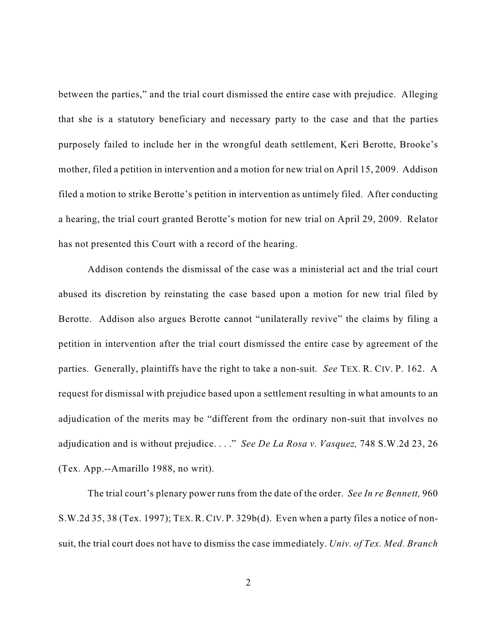between the parties," and the trial court dismissed the entire case with prejudice. Alleging that she is a statutory beneficiary and necessary party to the case and that the parties purposely failed to include her in the wrongful death settlement, Keri Berotte, Brooke's mother, filed a petition in intervention and a motion for new trial on April 15, 2009. Addison filed a motion to strike Berotte's petition in intervention as untimely filed. After conducting a hearing, the trial court granted Berotte's motion for new trial on April 29, 2009. Relator has not presented this Court with a record of the hearing.

Addison contends the dismissal of the case was a ministerial act and the trial court abused its discretion by reinstating the case based upon a motion for new trial filed by Berotte. Addison also argues Berotte cannot "unilaterally revive" the claims by filing a petition in intervention after the trial court dismissed the entire case by agreement of the parties. Generally, plaintiffs have the right to take a non-suit. *See* TEX. R. CIV. P. 162. A request for dismissal with prejudice based upon a settlement resulting in what amounts to an adjudication of the merits may be "different from the ordinary non-suit that involves no adjudication and is without prejudice. . . ." *See De La Rosa v. Vasquez,* 748 S.W.2d 23, 26 (Tex. App.--Amarillo 1988, no writ).

The trial court's plenary power runs from the date of the order. *See In re Bennett,* 960 S.W.2d 35, 38 (Tex. 1997); TEX. R. CIV. P. 329b(d). Even when a party files a notice of nonsuit, the trial court does not have to dismiss the case immediately. *Univ. of Tex. Med. Branch*